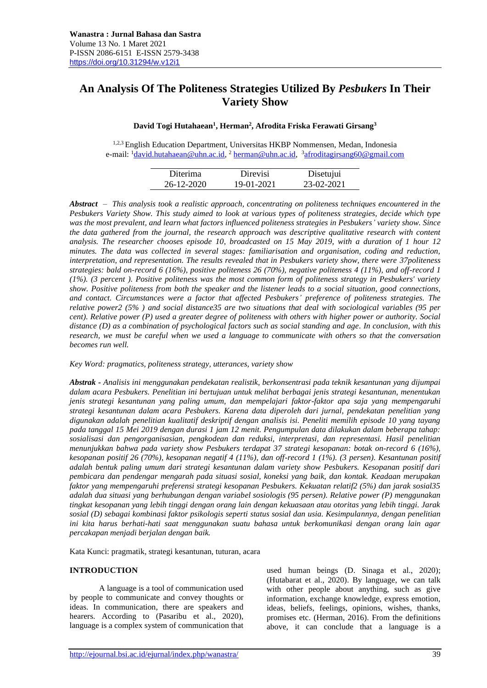# **An Analysis Of The Politeness Strategies Utilized By** *Pesbukers* **In Their Variety Show**

## **David Togi Hutahaean<sup>1</sup> , Herman<sup>2</sup> , Afrodita Friska Ferawati Girsang<sup>3</sup>**

1,2,3 English Education Department, Universitas HKBP Nommensen, Medan, Indonesia e-mail: <sup>1</sup><u>[david.hutahaean@uhn.ac.id,](mailto:david.hutahaean@uhn.ac.id) <sup>2</sup> herman@uhn.ac.id</u>, <sup>3</sup>[afroditagirsang60@gmail.com](mailto:afroditagirsang60@gmail.com)

| Diterima   | Direvisi   | Disetujui  |
|------------|------------|------------|
| 26-12-2020 | 19-01-2021 | 23-02-2021 |

*Abstract – This analysis took a realistic approach, concentrating on politeness techniques encountered in the Pesbukers Variety Show. This study aimed to look at various types of politeness strategies, decide which type was the most prevalent, and learn what factors influenced politeness strategies in Pesbukers' variety show. Since the data gathered from the journal, the research approach was descriptive qualitative research with content analysis. The researcher chooses episode 10, broadcasted on 15 May 2019, with a duration of 1 hour 12 minutes. The data was collected in several stages: familiarisation and organisation, coding and reduction, interpretation, and representation. The results revealed that in Pesbukers variety show, there were 37politeness strategies: bald on-record 6 (16%), positive politeness 26 (70%), negative politeness 4 (11%), and off-record 1 (1%). (3 percent ). Positive politeness was the most common form of politeness strategy in Pesbukers' variety show. Positive politeness from both the speaker and the listener leads to a social situation, good connections, and contact. Circumstances were a factor that affected Pesbukers' preference of politeness strategies. The relative power2 (5% ) and social distance35 are two situations that deal with sociological variables (95 per cent). Relative power (P) used a greater degree of politeness with others with higher power or authority. Social distance (D) as a combination of psychological factors such as social standing and age. In conclusion, with this research, we must be careful when we used a language to communicate with others so that the conversation becomes run well.*

*Key Word: pragmatics, politeness strategy, utterances, variety show*

*Abstrak - Analisis ini menggunakan pendekatan realistik, berkonsentrasi pada teknik kesantunan yang dijumpai dalam acara Pesbukers. Penelitian ini bertujuan untuk melihat berbagai jenis strategi kesantunan, menentukan jenis strategi kesantunan yang paling umum, dan mempelajari faktor-faktor apa saja yang mempengaruhi strategi kesantunan dalam acara Pesbukers. Karena data diperoleh dari jurnal, pendekatan penelitian yang digunakan adalah penelitian kualitatif deskriptif dengan analisis isi. Peneliti memilih episode 10 yang tayang pada tanggal 15 Mei 2019 dengan durasi 1 jam 12 menit. Pengumpulan data dilakukan dalam beberapa tahap: sosialisasi dan pengorganisasian, pengkodean dan reduksi, interpretasi, dan representasi. Hasil penelitian menunjukkan bahwa pada variety show Pesbukers terdapat 37 strategi kesopanan: botak on-record 6 (16%), kesopanan positif 26 (70%), kesopanan negatif 4 (11%), dan off-record 1 (1%). (3 persen). Kesantunan positif adalah bentuk paling umum dari strategi kesantunan dalam variety show Pesbukers. Kesopanan positif dari pembicara dan pendengar mengarah pada situasi sosial, koneksi yang baik, dan kontak. Keadaan merupakan faktor yang mempengaruhi preferensi strategi kesopanan Pesbukers. Kekuatan relatif2 (5%) dan jarak sosial35 adalah dua situasi yang berhubungan dengan variabel sosiologis (95 persen). Relative power (P) menggunakan tingkat kesopanan yang lebih tinggi dengan orang lain dengan kekuasaan atau otoritas yang lebih tinggi. Jarak sosial (D) sebagai kombinasi faktor psikologis seperti status sosial dan usia. Kesimpulannya, dengan penelitian ini kita harus berhati-hati saat menggunakan suatu bahasa untuk berkomunikasi dengan orang lain agar percakapan menjadi berjalan dengan baik.*

Kata Kunci: pragmatik, strategi kesantunan, tuturan, acara

## **INTRODUCTION**

A language is a tool of communication used by people to communicate and convey thoughts or ideas. In communication, there are speakers and hearers. According to (Pasaribu et al., 2020), language is a complex system of communication that used human beings (D. Sinaga et al., 2020); (Hutabarat et al., 2020). By language, we can talk with other people about anything, such as give information, exchange knowledge, express emotion, ideas, beliefs, feelings, opinions, wishes, thanks, promises etc. (Herman, 2016). From the definitions above, it can conclude that a language is a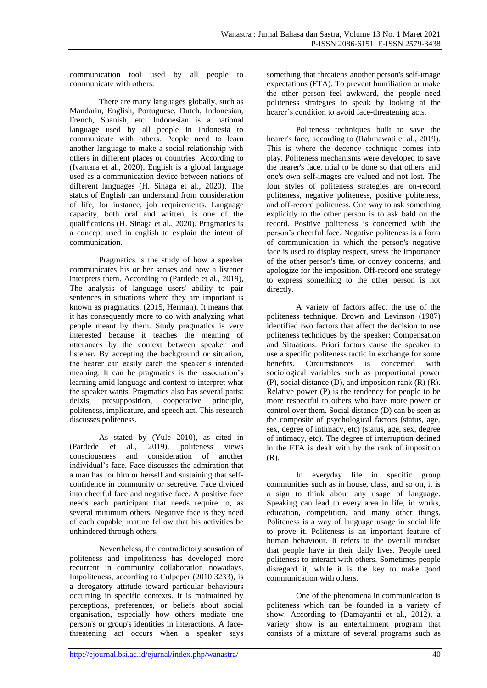communication tool used by all people to communicate with others.

There are many languages globally, such as Mandarin, English, Portuguese, Dutch, Indonesian, French, Spanish, etc. Indonesian is a national language used by all people in Indonesia to communicate with others. People need to learn another language to make a social relationship with others in different places or countries. According to (Ivantara et al., 2020), English is a global language used as a communication device between nations of different languages (H. Sinaga et al., 2020). The status of English can understand from consideration of life, for instance, job requirements. Language capacity, both oral and written, is one of the qualifications (H. Sinaga et al., 2020). Pragmatics is a concept used in english to explain the intent of communication.

Pragmatics is the study of how a speaker communicates his or her senses and how a listener interprets them. According to (Pardede et al., 2019), The analysis of language users' ability to pair sentences in situations where they are important is known as pragmatics. (2015, Herman). It means that it has consequently more to do with analyzing what people meant by them. Study pragmatics is very interested because it teaches the meaning of utterances by the context between speaker and listener. By accepting the background or situation, the hearer can easily catch the speaker's intended meaning. It can be pragmatics is the association's learning amid language and context to interpret what the speaker wants. Pragmatics also has several parts: deixis, presupposition, cooperative principle, politeness, implicature, and speech act. This research discusses politeness.

As stated by (Yule 2010), as cited in (Pardede et al., 2019), politeness views consciousness and consideration of another individual's face. Face discusses the admiration that a man has for him or herself and sustaining that selfconfidence in community or secretive. Face divided into cheerful face and negative face. A positive face needs each participant that needs require to, as several minimum others. Negative face is they need of each capable, mature fellow that his activities be unhindered through others.

Nevertheless, the contradictory sensation of politeness and impoliteness has developed more recurrent in community collaboration nowadays. Impoliteness, according to Culpeper (2010:3233), is a derogatory attitude toward particular behaviours occurring in specific contexts. It is maintained by perceptions, preferences, or beliefs about social organisation, especially how others mediate one person's or group's identities in interactions. A facethreatening act occurs when a speaker says

something that threatens another person's self-image expectations (FTA). To prevent humiliation or make the other person feel awkward, the people need politeness strategies to speak by looking at the hearer's condition to avoid face-threatening acts.

Politeness techniques built to save the hearer's face, according to (Rahmawati et al., 2019). This is where the decency technique comes into play. Politeness mechanisms were developed to save the hearer's face. ntial to be done so that others' and one's own self-images are valued and not lost. The four styles of politeness strategies are on-record politeness, negative politeness, positive politeness, and off-record politeness. One way to ask something explicitly to the other person is to ask bald on the record. Positive politeness is concerned with the person's cheerful face. Negative politeness is a form of communication in which the person's negative face is used to display respect, stress the importance of the other person's time, or convey concerns, and apologize for the imposition. Off-record one strategy to express something to the other person is not directly.

A variety of factors affect the use of the politeness technique. Brown and Levinson (1987) identified two factors that affect the decision to use politeness techniques by the speaker: Compensation and Situations. Priori factors cause the speaker to use a specific politeness tactic in exchange for some benefits. Circumstances is concerned with sociological variables such as proportional power  $(P)$ , social distance  $(D)$ , and imposition rank  $(R)$   $(R)$ . Relative power (P) is the tendency for people to be more respectful to others who have more power or control over them. Social distance (D) can be seen as the composite of psychological factors (status, age, sex, degree of intimacy, etc) (status, age, sex, degree of intimacy, etc). The degree of interruption defined in the FTA is dealt with by the rank of imposition (R).

In everyday life in specific group communities such as in house, class, and so on, it is a sign to think about any usage of language. Speaking can lead to every area in life, in works, education, competition, and many other things. Politeness is a way of language usage in social life to prove it. Politeness is an important feature of human behaviour. It refers to the overall mindset that people have in their daily lives. People need politeness to interact with others. Sometimes people disregard it, while it is the key to make good communication with others.

One of the phenomena in communication is politeness which can be founded in a variety of show. According to (Damayantii et al., 2012), a variety show is an entertainment program that consists of a mixture of several programs such as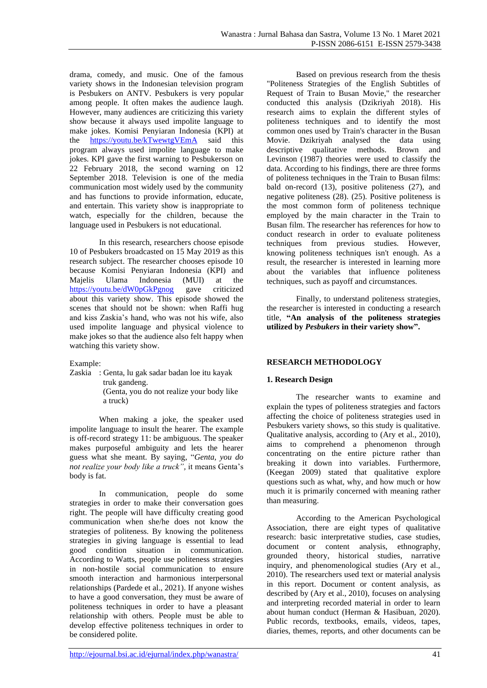drama, comedy, and music. One of the famous variety shows in the Indonesian television program is Pesbukers on ANTV. Pesbukers is very popular among people. It often makes the audience laugh. However, many audiences are criticizing this variety show because it always used impolite language to make jokes. Komisi Penyiaran Indonesia (KPI) at the <https://youtu.be/kTwewtgVEmA> said this program always used impolite language to make jokes. KPI gave the first warning to Pesbukerson on 22 February 2018, the second warning on 12 September 2018. Television is one of the media communication most widely used by the community and has functions to provide information, educate, and entertain. This variety show is inappropriate to watch, especially for the children, because the language used in Pesbukers is not educational.

In this research, researchers choose episode 10 of Pesbukers broadcasted on 15 May 2019 as this research subject. The researcher chooses episode 10 because Komisi Penyiaran Indonesia (KPI) and Majelis Ulama Indonesia (MUI) at the <https://youtu.be/dW0pGkPgnog> gave criticized about this variety show. This episode showed the scenes that should not be shown: when Raffi hug and kiss Zaskia's hand, who was not his wife, also used impolite language and physical violence to make jokes so that the audience also felt happy when watching this variety show.

## Example:

Zaskia : Genta, lu gak sadar badan loe itu kayak truk gandeng. (Genta, you do not realize your body like a truck)

When making a joke, the speaker used impolite language to insult the hearer. The example is off-record strategy 11: be ambiguous. The speaker makes purposeful ambiguity and lets the hearer guess what she meant. By saying, "*Genta, you do not realize your body like a truck",* it means Genta's body is fat.

In communication, people do some strategies in order to make their conversation goes right. The people will have difficulty creating good communication when she/he does not know the strategies of politeness. By knowing the politeness strategies in giving language is essential to lead good condition situation in communication. According to Watts, people use politeness strategies in non-hostile social communication to ensure smooth interaction and harmonious interpersonal relationships (Pardede et al., 2021). If anyone wishes to have a good conversation, they must be aware of politeness techniques in order to have a pleasant relationship with others. People must be able to develop effective politeness techniques in order to be considered polite.

Based on previous research from the thesis "Politeness Strategies of the English Subtitles of Request of Train to Busan Movie," the researcher conducted this analysis (Dzikriyah 2018). His research aims to explain the different styles of politeness techniques and to identify the most common ones used by Train's character in the Busan Movie. Dzikriyah analysed the data using descriptive qualitative methods. Brown and Levinson (1987) theories were used to classify the data. According to his findings, there are three forms of politeness techniques in the Train to Busan films: bald on-record (13), positive politeness (27), and negative politeness (28). (25). Positive politeness is the most common form of politeness technique employed by the main character in the Train to Busan film. The researcher has references for how to conduct research in order to evaluate politeness techniques from previous studies. However, knowing politeness techniques isn't enough. As a result, the researcher is interested in learning more about the variables that influence politeness techniques, such as payoff and circumstances.

Finally, to understand politeness strategies, the researcher is interested in conducting a research title, **"An analysis of the politeness strategies utilized by** *Pesbukers* **in their variety show".**

# **RESEARCH METHODOLOGY**

# **1. Research Design**

The researcher wants to examine and explain the types of politeness strategies and factors affecting the choice of politeness strategies used in Pesbukers variety shows, so this study is qualitative. Qualitative analysis, according to (Ary et al., 2010), aims to comprehend a phenomenon through concentrating on the entire picture rather than breaking it down into variables. Furthermore, (Keegan 2009) stated that qualitative explore questions such as what, why, and how much or how much it is primarily concerned with meaning rather than measuring.

According to the American Psychological Association, there are eight types of qualitative research: basic interpretative studies, case studies, document or content analysis, ethnography, grounded theory, historical studies, narrative inquiry, and phenomenological studies (Ary et al., 2010). The researchers used text or material analysis in this report. Document or content analysis, as described by (Ary et al., 2010), focuses on analysing and interpreting recorded material in order to learn about human conduct (Herman & Hasibuan, 2020). Public records, textbooks, emails, videos, tapes, diaries, themes, reports, and other documents can be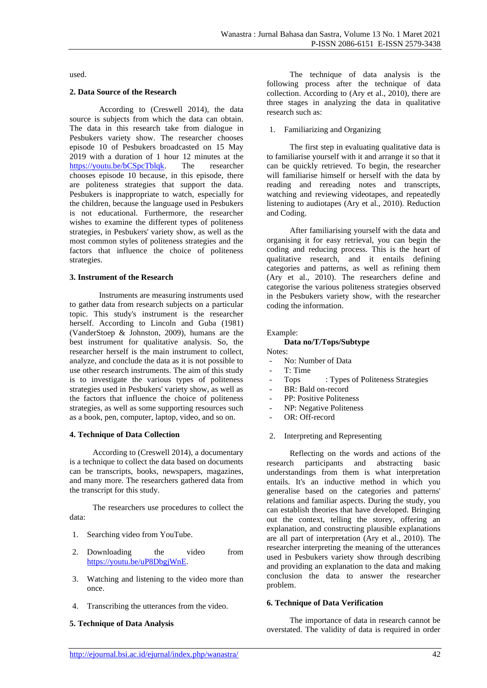used.

#### **2. Data Source of the Research**

According to (Creswell 2014), the data source is subjects from which the data can obtain. The data in this research take from dialogue in Pesbukers variety show. The researcher chooses episode 10 of Pesbukers broadcasted on 15 May 2019 with a duration of 1 hour 12 minutes at the [https://youtu.be/bCSpcTblqk.](https://youtu.be/bCSpcTblqk) The researcher chooses episode 10 because, in this episode, there are politeness strategies that support the data. Pesbukers is inappropriate to watch, especially for the children, because the language used in Pesbukers is not educational. Furthermore, the researcher wishes to examine the different types of politeness strategies, in Pesbukers' variety show, as well as the most common styles of politeness strategies and the factors that influence the choice of politeness strategies.

#### **3. Instrument of the Research**

Instruments are measuring instruments used to gather data from research subjects on a particular topic. This study's instrument is the researcher herself. According to Lincoln and Guba (1981) (VanderStoep & Johnston, 2009), humans are the best instrument for qualitative analysis. So, the researcher herself is the main instrument to collect, analyze, and conclude the data as it is not possible to use other research instruments. The aim of this study is to investigate the various types of politeness strategies used in Pesbukers' variety show, as well as the factors that influence the choice of politeness strategies, as well as some supporting resources such as a book, pen, computer, laptop, video, and so on.

## **4. Technique of Data Collection**

According to (Creswell 2014), a documentary is a technique to collect the data based on documents can be transcripts, books, newspapers, magazines, and many more. The researchers gathered data from the transcript for this study.

The researchers use procedures to collect the data:

- 1. Searching video from YouTube.
- 2. Downloading the video from [https://youtu.be/uP8DbgjWnE.](https://youtu.be/uP8DbgjWnE)
- 3. Watching and listening to the video more than once.
- 4. Transcribing the utterances from the video.

## **5. Technique of Data Analysis**

The technique of data analysis is the following process after the technique of data collection. According to (Ary et al., 2010), there are three stages in analyzing the data in qualitative research such as:

1. Familiarizing and Organizing

The first step in evaluating qualitative data is to familiarise yourself with it and arrange it so that it can be quickly retrieved. To begin, the researcher will familiarise himself or herself with the data by reading and rereading notes and transcripts, watching and reviewing videotapes, and repeatedly listening to audiotapes (Ary et al., 2010). Reduction and Coding.

After familiarising yourself with the data and organising it for easy retrieval, you can begin the coding and reducing process. This is the heart of qualitative research, and it entails defining categories and patterns, as well as refining them (Ary et al., 2010). The researchers define and categorise the various politeness strategies observed in the Pesbukers variety show, with the researcher coding the information.

#### Example:

#### **Data no/T/Tops/Subtype**

Notes:

- No: Number of Data
- T: Time
- Tops : Types of Politeness Strategies
- BR: Bald on-record
- PP: Positive Politeness
- NP: Negative Politeness
- OR: Off-record
- 2. Interpreting and Representing

Reflecting on the words and actions of the research participants and abstracting basic understandings from them is what interpretation entails. It's an inductive method in which you generalise based on the categories and patterns' relations and familiar aspects. During the study, you can establish theories that have developed. Bringing out the context, telling the storey, offering an explanation, and constructing plausible explanations are all part of interpretation (Ary et al., 2010). The researcher interpreting the meaning of the utterances used in Pesbukers variety show through describing and providing an explanation to the data and making conclusion the data to answer the researcher problem.

## **6. Technique of Data Verification**

The importance of data in research cannot be overstated. The validity of data is required in order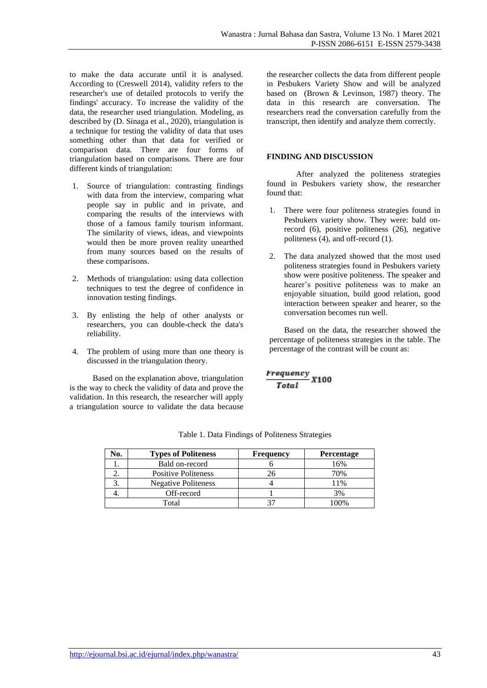to make the data accurate until it is analysed. According to (Creswell 2014), validity refers to the researcher's use of detailed protocols to verify the findings' accuracy. To increase the validity of the data, the researcher used triangulation. Modeling, as described by (D. Sinaga et al., 2020), triangulation is a technique for testing the validity of data that uses something other than that data for verified or comparison data. There are four forms of triangulation based on comparisons. There are four different kinds of triangulation:

- 1. Source of triangulation: contrasting findings with data from the interview, comparing what people say in public and in private, and comparing the results of the interviews with those of a famous family tourism informant. The similarity of views, ideas, and viewpoints would then be more proven reality unearthed from many sources based on the results of these comparisons.
- 2. Methods of triangulation: using data collection techniques to test the degree of confidence in innovation testing findings.
- 3. By enlisting the help of other analysts or researchers, you can double-check the data's reliability.
- 4. The problem of using more than one theory is discussed in the triangulation theory.

Based on the explanation above, triangulation is the way to check the validity of data and prove the validation. In this research, the researcher will apply a triangulation source to validate the data because the researcher collects the data from different people in Pesbukers Variety Show and will be analyzed based on (Brown & Levinson, 1987) theory. The data in this research are conversation. The researchers read the conversation carefully from the transcript, then identify and analyze them correctly.

## **FINDING AND DISCUSSION**

After analyzed the politeness strategies found in Pesbukers variety show, the researcher found that:

- 1. There were four politeness strategies found in Pesbukers variety show. They were: bald onrecord (6), positive politeness (26), negative politeness (4), and off-record (1).
- 2. The data analyzed showed that the most used politeness strategies found in Pesbukers variety show were positive politeness. The speaker and hearer's positive politeness was to make an enjoyable situation, build good relation, good interaction between speaker and hearer, so the conversation becomes run well.

Based on the data, the researcher showed the percentage of politeness strategies in the table. The percentage of the contrast will be count as:

$$
\frac{Frequency}{Total}X100
$$

| No. | <b>Types of Politeness</b> | <b>Frequency</b> | <b>Percentage</b> |
|-----|----------------------------|------------------|-------------------|
|     | Bald on-record             |                  | 16%               |
|     | <b>Positive Politeness</b> | 26.              | 70%               |
|     | <b>Negative Politeness</b> |                  | l 1%              |
|     | Off-record                 |                  | 3%                |
|     | Total                      |                  | $00\%$            |

Table 1. Data Findings of Politeness Strategies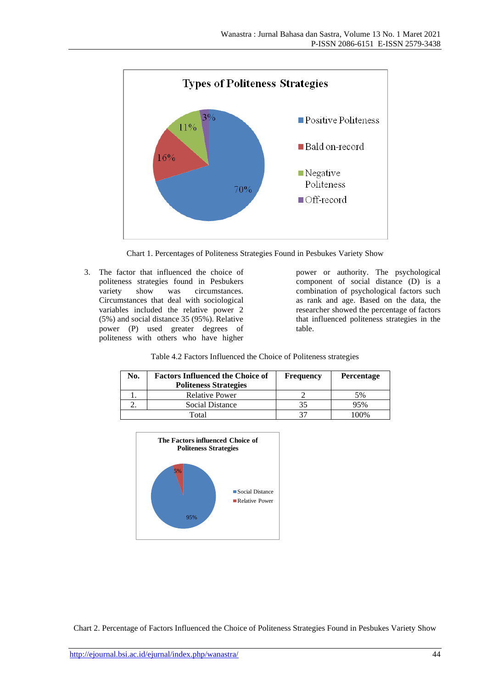

Chart 1. Percentages of Politeness Strategies Found in Pesbukes Variety Show

3. The factor that influenced the choice of politeness strategies found in Pesbukers variety show was circumstances. Circumstances that deal with sociological variables included the relative power 2 (5%) and social distance 35 (95%). Relative power (P) used greater degrees of politeness with others who have higher

power or authority. The psychological component of social distance (D) is a combination of psychological factors such as rank and age. Based on the data, the researcher showed the percentage of factors that influenced politeness strategies in the table.

| Table 4.2 Factors Influenced the Choice of Politeness strategies |  |  |  |
|------------------------------------------------------------------|--|--|--|
|------------------------------------------------------------------|--|--|--|

| No. | <b>Factors Influenced the Choice of</b><br><b>Politeness Strategies</b> | <b>Frequency</b> | <b>Percentage</b> |
|-----|-------------------------------------------------------------------------|------------------|-------------------|
|     | <b>Relative Power</b>                                                   |                  | 5%                |
|     | Social Distance                                                         | 35               | 95%               |
|     | Total                                                                   |                  | $00\%$            |



Chart 2. Percentage of Factors Influenced the Choice of Politeness Strategies Found in Pesbukes Variety Show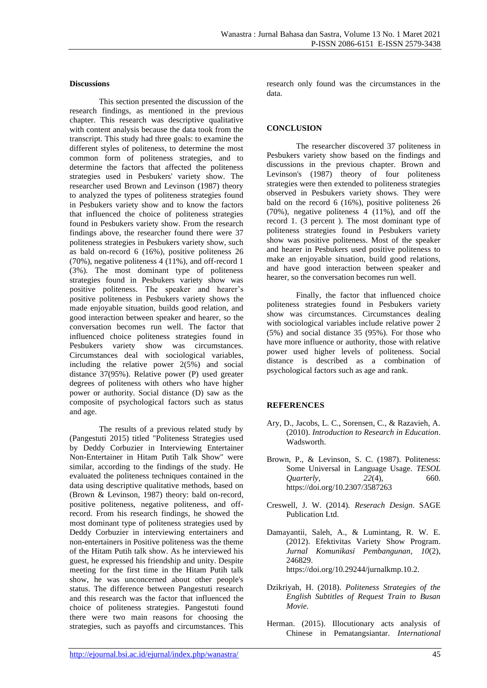#### **Discussions**

This section presented the discussion of the research findings, as mentioned in the previous chapter. This research was descriptive qualitative with content analysis because the data took from the transcript. This study had three goals: to examine the different styles of politeness, to determine the most common form of politeness strategies, and to determine the factors that affected the politeness strategies used in Pesbukers' variety show. The researcher used Brown and Levinson (1987) theory to analyzed the types of politeness strategies found in Pesbukers variety show and to know the factors that influenced the choice of politeness strategies found in Pesbukers variety show. From the research findings above, the researcher found there were 37 politeness strategies in Pesbukers variety show, such as bald on-record 6 (16%), positive politeness 26 (70%), negative politeness 4 (11%), and off-record 1 (3%). The most dominant type of politeness strategies found in Pesbukers variety show was positive politeness. The speaker and hearer's positive politeness in Pesbukers variety shows the made enjoyable situation, builds good relation, and good interaction between speaker and hearer, so the conversation becomes run well. The factor that influenced choice politeness strategies found in Pesbukers variety show was circumstances. Circumstances deal with sociological variables, including the relative power 2(5%) and social distance 37(95%). Relative power (P) used greater degrees of politeness with others who have higher power or authority. Social distance (D) saw as the composite of psychological factors such as status and age.

The results of a previous related study by (Pangestuti 2015) titled "Politeness Strategies used by Deddy Corbuzier in Interviewing Entertainer Non-Entertainer in Hitam Putih Talk Show" were similar, according to the findings of the study. He evaluated the politeness techniques contained in the data using descriptive qualitative methods, based on (Brown & Levinson, 1987) theory: bald on-record, positive politeness, negative politeness, and offrecord. From his research findings, he showed the most dominant type of politeness strategies used by Deddy Corbuzier in interviewing entertainers and non-entertainers in Positive politeness was the theme of the Hitam Putih talk show. As he interviewed his guest, he expressed his friendship and unity. Despite meeting for the first time in the Hitam Putih talk show, he was unconcerned about other people's status. The difference between Pangestuti research and this research was the factor that influenced the choice of politeness strategies. Pangestuti found there were two main reasons for choosing the strategies, such as payoffs and circumstances. This

research only found was the circumstances in the data.

#### **CONCLUSION**

The researcher discovered 37 politeness in Pesbukers variety show based on the findings and discussions in the previous chapter. Brown and Levinson's (1987) theory of four politeness strategies were then extended to politeness strategies observed in Pesbukers variety shows. They were bald on the record 6 (16%), positive politeness 26 (70%), negative politeness 4 (11%), and off the record 1. (3 percent ). The most dominant type of politeness strategies found in Pesbukers variety show was positive politeness. Most of the speaker and hearer in Pesbukers used positive politeness to make an enjoyable situation, build good relations, and have good interaction between speaker and hearer, so the conversation becomes run well.

Finally, the factor that influenced choice politeness strategies found in Pesbukers variety show was circumstances. Circumstances dealing with sociological variables include relative power 2 (5%) and social distance 35 (95%). For those who have more influence or authority, those with relative power used higher levels of politeness. Social distance is described as a combination of psychological factors such as age and rank.

## **REFERENCES**

- Ary, D., Jacobs, L. C., Sorensen, C., & Razavieh, A. (2010). *Introduction to Research in Education*. **Wadsworth**
- Brown, P., & Levinson, S. C. (1987). Politeness: Some Universal in Language Usage. *TESOL Quarterly*, *22*(4), 660. https://doi.org/10.2307/3587263
- Creswell, J. W. (2014). *Reserach Design*. SAGE Publication Ltd.
- Damayantii, Saleh, A., & Lumintang, R. W. E. (2012). Efektivitas Variety Show Program. *Jurnal Komunikasi Pembangunan*, *10*(2), 246829. https://doi.org/10.29244/jurnalkmp.10.2.
- Dzikriyah, H. (2018). *Politeness Strategies of the English Subtitles of Request Train to Busan Movie*.
- Herman. (2015). Illocutionary acts analysis of Chinese in Pematangsiantar. *International*